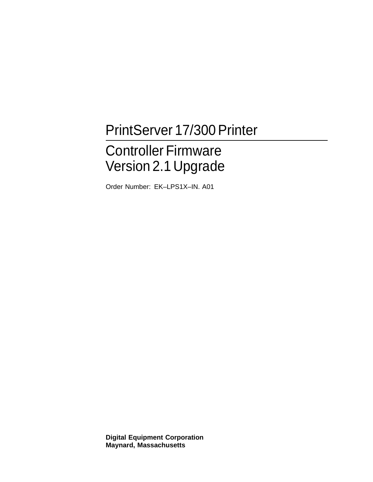## PrintServer 17/300 Printer

# Controller Firmware Version 2.1 Upgrade

Order Number: EK–LPS1X–IN. A01

**Digital Equipment Corporation Maynard, Massachusetts**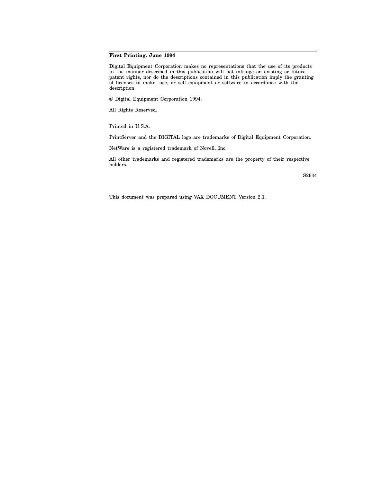#### **First Printing, June 1994**

Digital Equipment Corporation makes no representations that the use of its products in the manner described in this publication will not infringe on existing or future patent rights, nor do the descriptions contained in this publication imply the granting of licenses to make, use, or sell equipment or software in accordance with the description.

© Digital Equipment Corporation 1994.

All Rights Reserved.

Printed in U.S.A.

PrintServer and the DIGITAL logo are trademarks of Digital Equipment Corporation.

NetWare is a registered trademark of Novell, Inc.

All other trademarks and registered trademarks are the property of their respective holders.

S2644

This document was prepared using VAX DOCUMENT Version 2.1.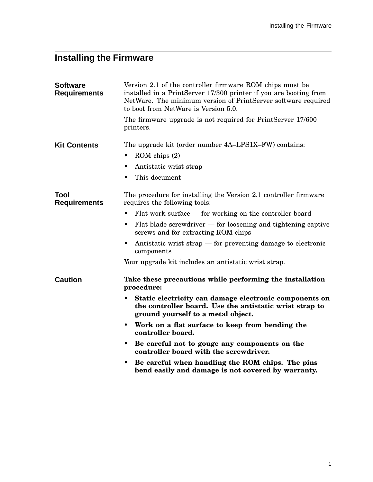### **Installing the Firmware**

| <b>Software</b><br><b>Requirements</b> | Version 2.1 of the controller firmware ROM chips must be<br>installed in a PrintServer 17/300 printer if you are booting from<br>NetWare. The minimum version of PrintServer software required<br>to boot from NetWare is Version 5.0. |
|----------------------------------------|----------------------------------------------------------------------------------------------------------------------------------------------------------------------------------------------------------------------------------------|
|                                        | The firmware upgrade is not required for PrintServer 17/600<br>printers.                                                                                                                                                               |
| <b>Kit Contents</b>                    | The upgrade kit (order number 4A–LPS1X–FW) contains:                                                                                                                                                                                   |
|                                        | $ROM$ chips $(2)$                                                                                                                                                                                                                      |
|                                        | Antistatic wrist strap                                                                                                                                                                                                                 |
|                                        | This document<br>٠                                                                                                                                                                                                                     |
| Tool<br><b>Requirements</b>            | The procedure for installing the Version 2.1 controller firmware<br>requires the following tools:                                                                                                                                      |
|                                        | Flat work surface — for working on the controller board                                                                                                                                                                                |
|                                        | Flat blade screwdriver $-$ for loosening and tightening captive<br>$\bullet$<br>screws and for extracting ROM chips                                                                                                                    |
|                                        | Antistatic wrist strap — for preventing damage to electronic<br>components                                                                                                                                                             |
|                                        | Your upgrade kit includes an antistatic wrist strap.                                                                                                                                                                                   |
| <b>Caution</b>                         | Take these precautions while performing the installation<br>procedure:                                                                                                                                                                 |
|                                        | Static electricity can damage electronic components on<br>the controller board. Use the antistatic wrist strap to<br>ground yourself to a metal object.                                                                                |
|                                        | Work on a flat surface to keep from bending the<br>٠<br>controller board.                                                                                                                                                              |
|                                        | Be careful not to gouge any components on the<br>controller board with the screwdriver.                                                                                                                                                |
|                                        | Be careful when handling the ROM chips. The pins<br>bend easily and damage is not covered by warranty.                                                                                                                                 |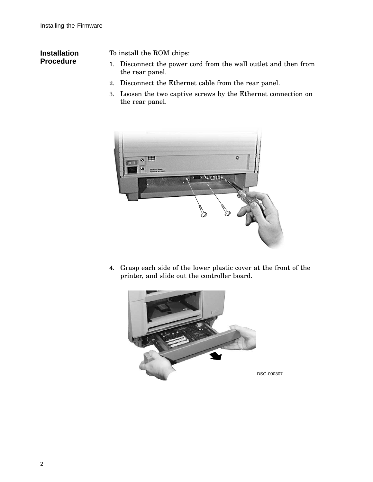### **Installation Procedure**

To install the ROM chips:

- 1. Disconnect the power cord from the wall outlet and then from the rear panel.
- 2. Disconnect the Ethernet cable from the rear panel.
- 3. Loosen the two captive screws by the Ethernet connection on the rear panel.



4. Grasp each side of the lower plastic cover at the front of the printer, and slide out the controller board.

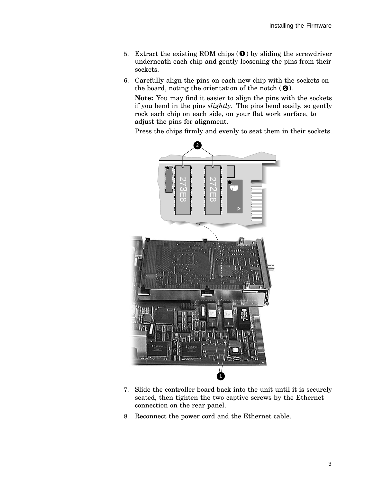- 5. Extract the existing ROM chips  $\left( \bullet \right)$  by sliding the screwdriver underneath each chip and gently loosening the pins from their sockets.
- 6. Carefully align the pins on each new chip with the sockets on the board, noting the orientation of the notch  $(②)$ .

**Note:** You may find it easier to align the pins with the sockets if you bend in the pins *slightly*. The pins bend easily, so gently rock each chip on each side, on your flat work surface, to adjust the pins for alignment.

Press the chips firmly and evenly to seat them in their sockets.



- 7. Slide the controller board back into the unit until it is securely seated, then tighten the two captive screws by the Ethernet connection on the rear panel.
- 8. Reconnect the power cord and the Ethernet cable.